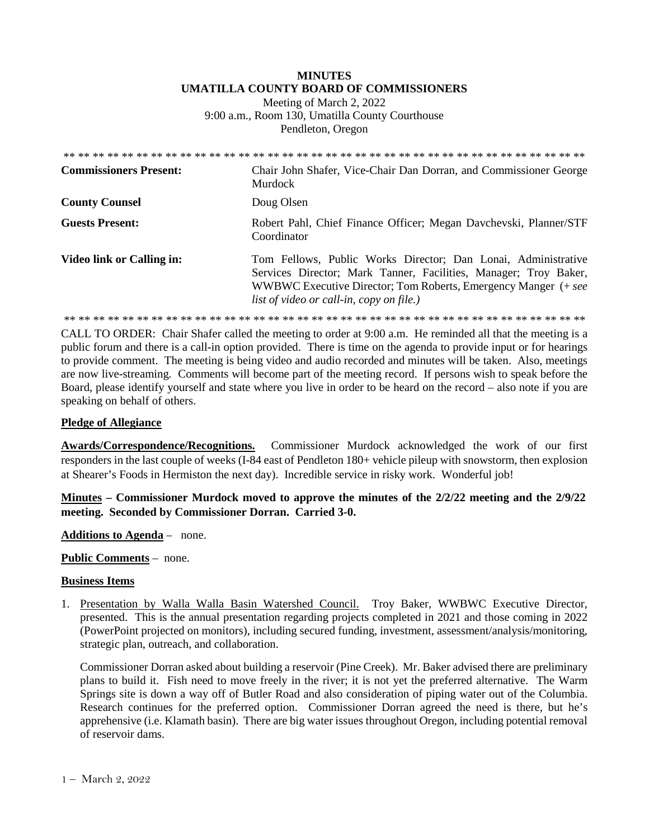## **MINUTES UMATILLA COUNTY BOARD OF COMMISSIONERS**

Meeting of March 2, 2022 9:00 a.m., Room 130, Umatilla County Courthouse Pendleton, Oregon

| <b>Commissioners Present:</b> | Chair John Shafer, Vice-Chair Dan Dorran, and Commissioner George<br><b>Murdock</b>                                                                                                                                                             |
|-------------------------------|-------------------------------------------------------------------------------------------------------------------------------------------------------------------------------------------------------------------------------------------------|
| <b>County Counsel</b>         | Doug Olsen                                                                                                                                                                                                                                      |
| <b>Guests Present:</b>        | Robert Pahl, Chief Finance Officer; Megan Davchevski, Planner/STF<br>Coordinator                                                                                                                                                                |
| Video link or Calling in:     | Tom Fellows, Public Works Director; Dan Lonai, Administrative<br>Services Director; Mark Tanner, Facilities, Manager; Troy Baker,<br>WWBWC Executive Director; Tom Roberts, Emergency Manger (+ see<br>list of video or call-in, copy on file.) |

\*\* \*\* \*\* \*\* \*\* \*\* \*\* \*\* \*\* \*\* \*\* \*\* \*\* \*\* \*\* \*\* \*\* \*\* \*\* \*\* \*\* \*\* \*\* \*\* \*\* \*\* \*\* \*\* \*\* \*\* \*\* \*\* \*\* \*\* \*\* \*\*

CALL TO ORDER: Chair Shafer called the meeting to order at 9:00 a.m. He reminded all that the meeting is a public forum and there is a call-in option provided. There is time on the agenda to provide input or for hearings to provide comment. The meeting is being video and audio recorded and minutes will be taken. Also, meetings are now live-streaming*.* Comments will become part of the meeting record. If persons wish to speak before the Board, please identify yourself and state where you live in order to be heard on the record – also note if you are speaking on behalf of others.

## **Pledge of Allegiance**

**Awards/Correspondence/Recognitions.** Commissioner Murdock acknowledged the work of our first responders in the last couple of weeks (I-84 east of Pendleton 180+ vehicle pileup with snowstorm, then explosion at Shearer's Foods in Hermiston the next day). Incredible service in risky work. Wonderful job!

**Minutes – Commissioner Murdock moved to approve the minutes of the 2/2/22 meeting and the 2/9/22 meeting. Seconded by Commissioner Dorran. Carried 3-0.** 

**Additions to Agenda** – none.

**Public Comments** – none.

## **Business Items**

1. Presentation by Walla Walla Basin Watershed Council. Troy Baker, WWBWC Executive Director, presented. This is the annual presentation regarding projects completed in 2021 and those coming in 2022 (PowerPoint projected on monitors), including secured funding, investment, assessment/analysis/monitoring, strategic plan, outreach, and collaboration.

Commissioner Dorran asked about building a reservoir (Pine Creek). Mr. Baker advised there are preliminary plans to build it. Fish need to move freely in the river; it is not yet the preferred alternative. The Warm Springs site is down a way off of Butler Road and also consideration of piping water out of the Columbia. Research continues for the preferred option. Commissioner Dorran agreed the need is there, but he's apprehensive (i.e. Klamath basin). There are big water issues throughout Oregon, including potential removal of reservoir dams.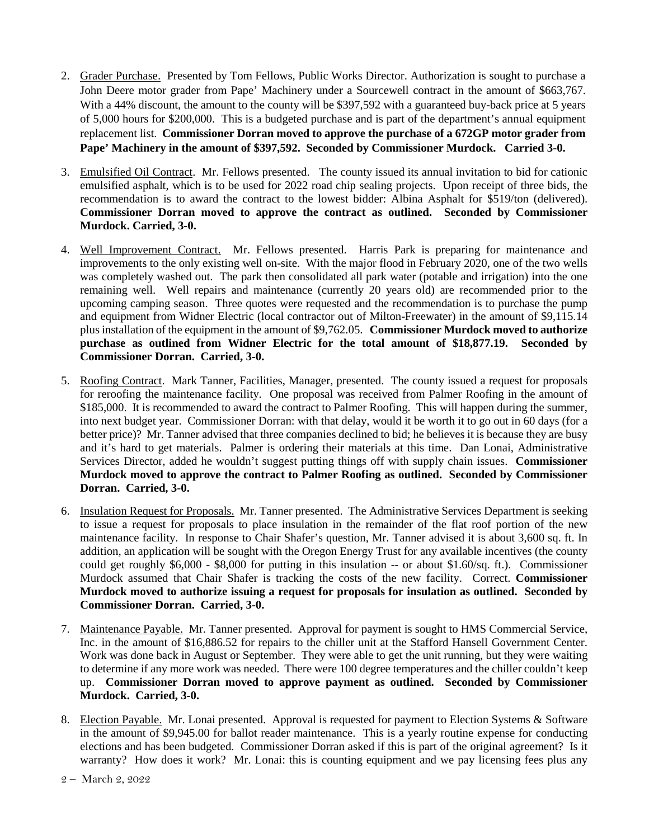- 2. Grader Purchase. Presented by Tom Fellows, Public Works Director. Authorization is sought to purchase a John Deere motor grader from Pape' Machinery under a Sourcewell contract in the amount of \$663,767. With a 44% discount, the amount to the county will be \$397,592 with a guaranteed buy-back price at 5 years of 5,000 hours for \$200,000. This is a budgeted purchase and is part of the department's annual equipment replacement list. **Commissioner Dorran moved to approve the purchase of a 672GP motor grader from Pape' Machinery in the amount of \$397,592. Seconded by Commissioner Murdock. Carried 3-0.**
- 3. Emulsified Oil Contract. Mr. Fellows presented. The county issued its annual invitation to bid for cationic emulsified asphalt, which is to be used for 2022 road chip sealing projects. Upon receipt of three bids, the recommendation is to award the contract to the lowest bidder: Albina Asphalt for \$519/ton (delivered). **Commissioner Dorran moved to approve the contract as outlined. Seconded by Commissioner Murdock. Carried, 3-0.**
- 4. Well Improvement Contract. Mr. Fellows presented. Harris Park is preparing for maintenance and improvements to the only existing well on-site. With the major flood in February 2020, one of the two wells was completely washed out. The park then consolidated all park water (potable and irrigation) into the one remaining well. Well repairs and maintenance (currently 20 years old) are recommended prior to the upcoming camping season. Three quotes were requested and the recommendation is to purchase the pump and equipment from Widner Electric (local contractor out of Milton-Freewater) in the amount of \$9,115.14 plus installation of the equipment in the amount of \$9,762.05. **Commissioner Murdock moved to authorize purchase as outlined from Widner Electric for the total amount of \$18,877.19. Seconded by Commissioner Dorran. Carried, 3-0.**
- 5. Roofing Contract. Mark Tanner, Facilities, Manager, presented. The county issued a request for proposals for reroofing the maintenance facility. One proposal was received from Palmer Roofing in the amount of \$185,000. It is recommended to award the contract to Palmer Roofing. This will happen during the summer, into next budget year. Commissioner Dorran: with that delay, would it be worth it to go out in 60 days (for a better price)? Mr. Tanner advised that three companies declined to bid; he believes it is because they are busy and it's hard to get materials. Palmer is ordering their materials at this time. Dan Lonai, Administrative Services Director, added he wouldn't suggest putting things off with supply chain issues. **Commissioner Murdock moved to approve the contract to Palmer Roofing as outlined. Seconded by Commissioner Dorran. Carried, 3-0.**
- 6. Insulation Request for Proposals. Mr. Tanner presented. The Administrative Services Department is seeking to issue a request for proposals to place insulation in the remainder of the flat roof portion of the new maintenance facility. In response to Chair Shafer's question, Mr. Tanner advised it is about 3,600 sq. ft. In addition, an application will be sought with the Oregon Energy Trust for any available incentives (the county could get roughly \$6,000 - \$8,000 for putting in this insulation -- or about \$1.60/sq. ft.). Commissioner Murdock assumed that Chair Shafer is tracking the costs of the new facility. Correct. **Commissioner Murdock moved to authorize issuing a request for proposals for insulation as outlined. Seconded by Commissioner Dorran. Carried, 3-0.**
- 7. Maintenance Payable. Mr. Tanner presented. Approval for payment is sought to HMS Commercial Service, Inc. in the amount of \$16,886.52 for repairs to the chiller unit at the Stafford Hansell Government Center. Work was done back in August or September. They were able to get the unit running, but they were waiting to determine if any more work was needed. There were 100 degree temperatures and the chiller couldn't keep up. **Commissioner Dorran moved to approve payment as outlined. Seconded by Commissioner Murdock. Carried, 3-0.**
- 8. Election Payable. Mr. Lonai presented. Approval is requested for payment to Election Systems & Software in the amount of \$9,945.00 for ballot reader maintenance. This is a yearly routine expense for conducting elections and has been budgeted. Commissioner Dorran asked if this is part of the original agreement? Is it warranty? How does it work? Mr. Lonai: this is counting equipment and we pay licensing fees plus any

<sup>2 –</sup> March 2, 2022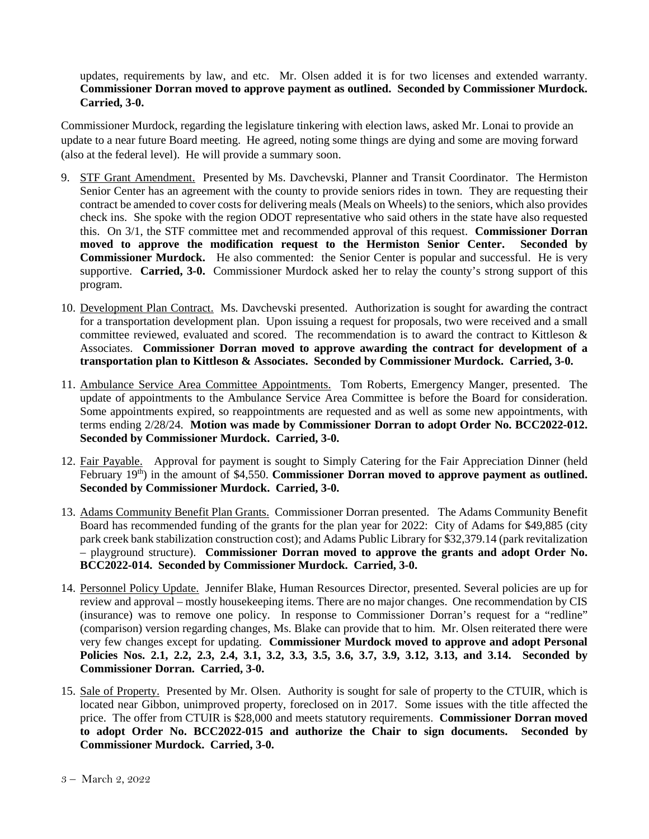updates, requirements by law, and etc. Mr. Olsen added it is for two licenses and extended warranty. **Commissioner Dorran moved to approve payment as outlined. Seconded by Commissioner Murdock. Carried, 3-0.**

Commissioner Murdock, regarding the legislature tinkering with election laws, asked Mr. Lonai to provide an update to a near future Board meeting. He agreed, noting some things are dying and some are moving forward (also at the federal level). He will provide a summary soon.

- 9. STF Grant Amendment. Presented by Ms. Davchevski, Planner and Transit Coordinator. The Hermiston Senior Center has an agreement with the county to provide seniors rides in town. They are requesting their contract be amended to cover costs for delivering meals (Meals on Wheels) to the seniors, which also provides check ins. She spoke with the region ODOT representative who said others in the state have also requested this. On 3/1, the STF committee met and recommended approval of this request. **Commissioner Dorran moved to approve the modification request to the Hermiston Senior Center. Seconded by Commissioner Murdock.** He also commented: the Senior Center is popular and successful. He is very supportive. **Carried, 3-0.** Commissioner Murdock asked her to relay the county's strong support of this program.
- 10. Development Plan Contract. Ms. Davchevski presented. Authorization is sought for awarding the contract for a transportation development plan. Upon issuing a request for proposals, two were received and a small committee reviewed, evaluated and scored. The recommendation is to award the contract to Kittleson & Associates. **Commissioner Dorran moved to approve awarding the contract for development of a transportation plan to Kittleson & Associates. Seconded by Commissioner Murdock. Carried, 3-0.**
- 11. Ambulance Service Area Committee Appointments. Tom Roberts, Emergency Manger, presented. The update of appointments to the Ambulance Service Area Committee is before the Board for consideration. Some appointments expired, so reappointments are requested and as well as some new appointments, with terms ending 2/28/24. **Motion was made by Commissioner Dorran to adopt Order No. BCC2022-012. Seconded by Commissioner Murdock. Carried, 3-0.**
- 12. Fair Payable. Approval for payment is sought to Simply Catering for the Fair Appreciation Dinner (held February 19<sup>th</sup>) in the amount of \$4,550. **Commissioner Dorran moved to approve payment as outlined. Seconded by Commissioner Murdock. Carried, 3-0.**
- 13. Adams Community Benefit Plan Grants. Commissioner Dorran presented. The Adams Community Benefit Board has recommended funding of the grants for the plan year for 2022: City of Adams for \$49,885 (city park creek bank stabilization construction cost); and Adams Public Library for \$32,379.14 (park revitalization – playground structure). **Commissioner Dorran moved to approve the grants and adopt Order No. BCC2022-014. Seconded by Commissioner Murdock. Carried, 3-0.**
- 14. Personnel Policy Update. Jennifer Blake, Human Resources Director, presented. Several policies are up for review and approval – mostly housekeeping items. There are no major changes. One recommendation by CIS (insurance) was to remove one policy. In response to Commissioner Dorran's request for a "redline" (comparison) version regarding changes, Ms. Blake can provide that to him. Mr. Olsen reiterated there were very few changes except for updating. **Commissioner Murdock moved to approve and adopt Personal Policies Nos. 2.1, 2.2, 2.3, 2.4, 3.1, 3.2, 3.3, 3.5, 3.6, 3.7, 3.9, 3.12, 3.13, and 3.14. Seconded by Commissioner Dorran. Carried, 3-0.**
- 15. Sale of Property. Presented by Mr. Olsen. Authority is sought for sale of property to the CTUIR, which is located near Gibbon, unimproved property, foreclosed on in 2017. Some issues with the title affected the price. The offer from CTUIR is \$28,000 and meets statutory requirements. **Commissioner Dorran moved to adopt Order No. BCC2022-015 and authorize the Chair to sign documents. Seconded by Commissioner Murdock. Carried, 3-0.**